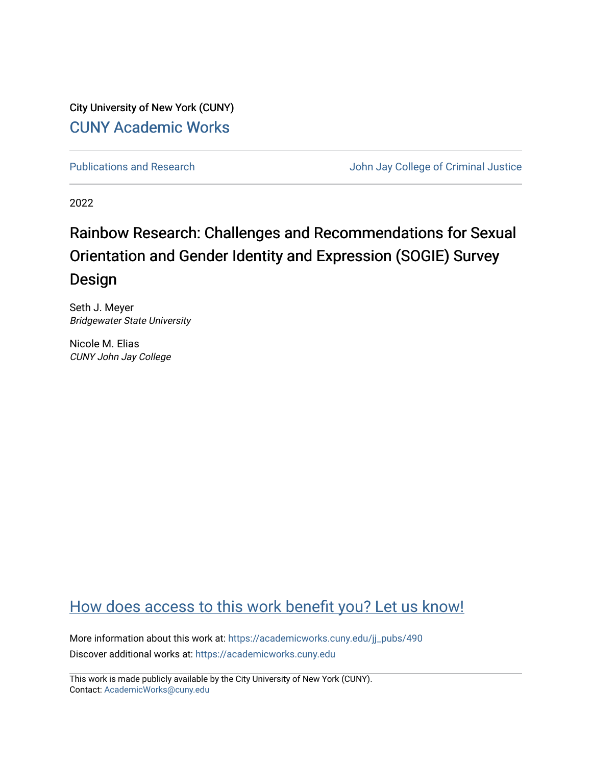City University of New York (CUNY) [CUNY Academic Works](https://academicworks.cuny.edu/) 

[Publications and Research](https://academicworks.cuny.edu/jj_pubs) **Value 2018** John Jay College of Criminal Justice

2022

# Rainbow Research: Challenges and Recommendations for Sexual Orientation and Gender Identity and Expression (SOGIE) Survey Design

Seth J. Meyer Bridgewater State University

Nicole M. Elias CUNY John Jay College

# [How does access to this work benefit you? Let us know!](http://ols.cuny.edu/academicworks/?ref=https://academicworks.cuny.edu/jj_pubs/490)

More information about this work at: [https://academicworks.cuny.edu/jj\\_pubs/490](https://academicworks.cuny.edu/jj_pubs/490) Discover additional works at: [https://academicworks.cuny.edu](https://academicworks.cuny.edu/?)

This work is made publicly available by the City University of New York (CUNY). Contact: [AcademicWorks@cuny.edu](mailto:AcademicWorks@cuny.edu)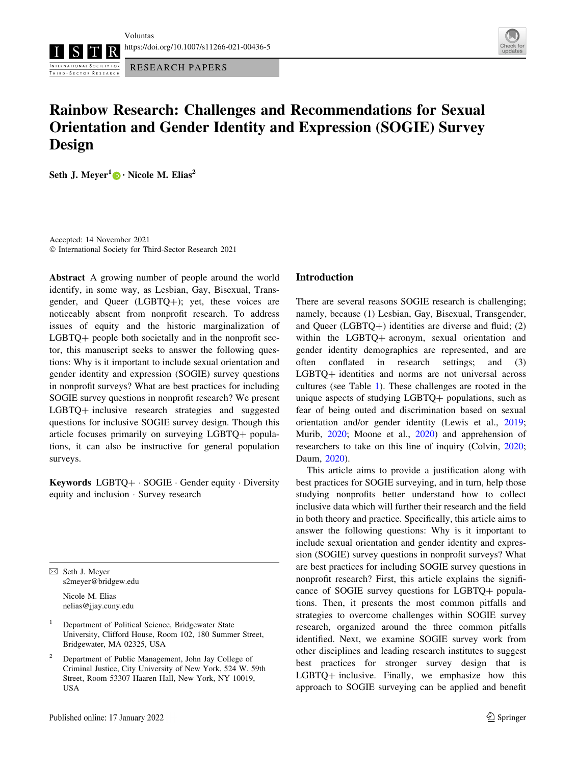Voluntas

INTERNATIONAL SOCIETY FOR THIRD - SECTOR RESEARCH



RESEARCH PAPERS



# Rainbow Research: Challenges and Recommendations for Sexual Orientation and Gender Identity and Expression (SOGIE) Survey Design

Seth J. Meyer<sup>1</sup> [•](http://orcid.org/0000-0003-0255-9900) Nicole M. Elias<sup>2</sup>

Accepted: 14 November 2021 - International Society for Third-Sector Research 2021

Abstract A growing number of people around the world identify, in some way, as Lesbian, Gay, Bisexual, Transgender, and Queer  $(LGBTQ+)$ ; yet, these voices are noticeably absent from nonprofit research. To address issues of equity and the historic marginalization of  $LGBTQ+$  people both societally and in the nonprofit sector, this manuscript seeks to answer the following questions: Why is it important to include sexual orientation and gender identity and expression (SOGIE) survey questions in nonprofit surveys? What are best practices for including SOGIE survey questions in nonprofit research? We present LGBTQ+ inclusive research strategies and suggested questions for inclusive SOGIE survey design. Though this article focuses primarily on surveying LGBTQ+ populations, it can also be instructive for general population surveys.

Keywords LGBTQ+ · SOGIE · Gender equity · Diversity equity and inclusion - Survey research

 $\boxtimes$  Seth J. Meyer s2meyer@bridgew.edu

> Nicole M. Elias nelias@jjay.cuny.edu

- <sup>1</sup> Department of Political Science, Bridgewater State University, Clifford House, Room 102, 180 Summer Street, Bridgewater, MA 02325, USA
- <sup>2</sup> Department of Public Management, John Jay College of Criminal Justice, City University of New York, 524 W. 59th Street, Room 53307 Haaren Hall, New York, NY 10019, USA

# Introduction

There are several reasons SOGIE research is challenging; namely, because (1) Lesbian, Gay, Bisexual, Transgender, and Queer ( $LGBTQ+$ ) identities are diverse and fluid; (2) within the LGBTQ+ acronym, sexual orientation and gender identity demographics are represented, and are often conflated in research settings; and (3) LGBTQ+ identities and norms are not universal across cultures (see Table [1\)](#page-2-0). These challenges are rooted in the unique aspects of studying  $LGBTQ +$  populations, such as fear of being outed and discrimination based on sexual orientation and/or gender identity (Lewis et al., [2019](#page-7-0); Murib, [2020;](#page-7-0) Moone et al., [2020\)](#page-7-0) and apprehension of researchers to take on this line of inquiry (Colvin, [2020](#page-7-0); Daum, [2020](#page-7-0)).

This article aims to provide a justification along with best practices for SOGIE surveying, and in turn, help those studying nonprofits better understand how to collect inclusive data which will further their research and the field in both theory and practice. Specifically, this article aims to answer the following questions: Why is it important to include sexual orientation and gender identity and expression (SOGIE) survey questions in nonprofit surveys? What are best practices for including SOGIE survey questions in nonprofit research? First, this article explains the significance of SOGIE survey questions for  $LGBTQ + popula$ tions. Then, it presents the most common pitfalls and strategies to overcome challenges within SOGIE survey research, organized around the three common pitfalls identified. Next, we examine SOGIE survey work from other disciplines and leading research institutes to suggest best practices for stronger survey design that is  $LGBTQ +$  inclusive. Finally, we emphasize how this approach to SOGIE surveying can be applied and benefit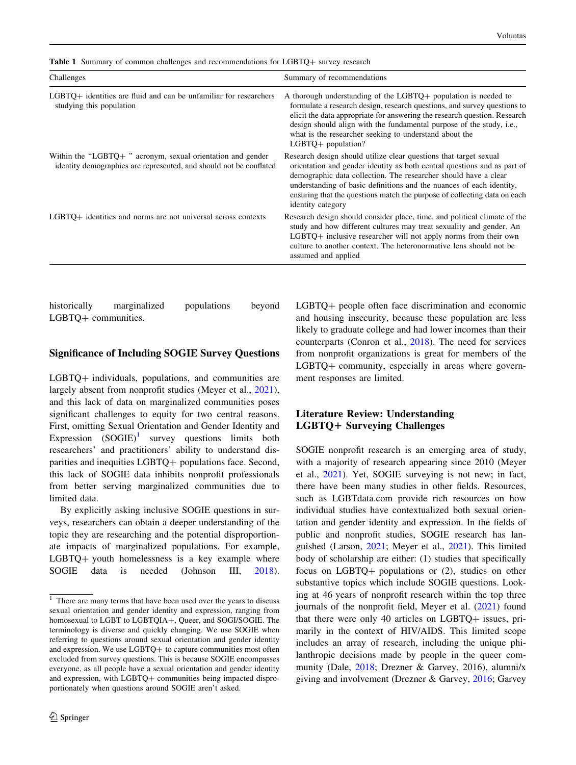<span id="page-2-0"></span>Table 1 Summary of common challenges and recommendations for LGBTQ+ survey research

| Challenges                                                                                                                       | Summary of recommendations                                                                                                                                                                                                                                                                                                                                                                |
|----------------------------------------------------------------------------------------------------------------------------------|-------------------------------------------------------------------------------------------------------------------------------------------------------------------------------------------------------------------------------------------------------------------------------------------------------------------------------------------------------------------------------------------|
| LGBTQ+ identities are fluid and can be unfamiliar for researchers<br>studying this population                                    | A thorough understanding of the LGBTQ+ population is needed to<br>formulate a research design, research questions, and survey questions to<br>elicit the data appropriate for answering the research question. Research<br>design should align with the fundamental purpose of the study, i.e.,<br>what is the researcher seeking to understand about the<br>$LGBTQ+$ population?         |
| Within the "LGBTQ+" acronym, sexual orientation and gender<br>identity demographics are represented, and should not be conflated | Research design should utilize clear questions that target sexual<br>orientation and gender identity as both central questions and as part of<br>demographic data collection. The researcher should have a clear<br>understanding of basic definitions and the nuances of each identity,<br>ensuring that the questions match the purpose of collecting data on each<br>identity category |
| LGBTQ+ identities and norms are not universal across contexts                                                                    | Research design should consider place, time, and political climate of the<br>study and how different cultures may treat sexuality and gender. An<br>$LGBTQ$ + inclusive researcher will not apply norms from their own<br>culture to another context. The heteronormative lens should not be<br>assumed and applied                                                                       |

historically marginalized populations beyond LGBTO+ communities.

#### Significance of Including SOGIE Survey Questions

LGBTQ+ individuals, populations, and communities are largely absent from nonprofit studies (Meyer et al., [2021](#page-7-0)), and this lack of data on marginalized communities poses significant challenges to equity for two central reasons. First, omitting Sexual Orientation and Gender Identity and Expression  $(SOGIE)^1$  survey questions limits both researchers' and practitioners' ability to understand disparities and inequities LGBTQ+ populations face. Second, this lack of SOGIE data inhibits nonprofit professionals from better serving marginalized communities due to limited data.

By explicitly asking inclusive SOGIE questions in surveys, researchers can obtain a deeper understanding of the topic they are researching and the potential disproportionate impacts of marginalized populations. For example,  $LGBTQ+$  youth homelessness is a key example where SOGIE data is needed (Johnson III, [2018](#page-7-0)).

LGBTQ+ people often face discrimination and economic and housing insecurity, because these population are less likely to graduate college and had lower incomes than their counterparts (Conron et al., [2018](#page-7-0)). The need for services from nonprofit organizations is great for members of the  $LGBTQ+$  community, especially in areas where government responses are limited.

# Literature Review: Understanding LGBTQ+ Surveying Challenges

SOGIE nonprofit research is an emerging area of study, with a majority of research appearing since 2010 (Meyer et al., [2021](#page-7-0)). Yet, SOGIE surveying is not new; in fact, there have been many studies in other fields. Resources, such as LGBTdata.com provide rich resources on how individual studies have contextualized both sexual orientation and gender identity and expression. In the fields of public and nonprofit studies, SOGIE research has languished (Larson, [2021](#page-7-0); Meyer et al., [2021\)](#page-7-0). This limited body of scholarship are either: (1) studies that specifically focus on  $LGBTQ$ + populations or (2), studies on other substantive topics which include SOGIE questions. Looking at 46 years of nonprofit research within the top three journals of the nonprofit field, Meyer et al. ([2021\)](#page-7-0) found that there were only 40 articles on  $LGBTQ$  issues, primarily in the context of HIV/AIDS. This limited scope includes an array of research, including the unique philanthropic decisions made by people in the queer community (Dale, [2018](#page-7-0); Drezner & Garvey, 2016), alumni/x giving and involvement (Drezner & Garvey, [2016](#page-7-0); Garvey

<sup>&</sup>lt;sup>1</sup> There are many terms that have been used over the years to discuss sexual orientation and gender identity and expression, ranging from homosexual to LGBT to LGBTQIA+, Queer, and SOGI/SOGIE. The terminology is diverse and quickly changing. We use SOGIE when referring to questions around sexual orientation and gender identity and expression. We use  $LGBTQ+$  to capture communities most often excluded from survey questions. This is because SOGIE encompasses everyone, as all people have a sexual orientation and gender identity and expression, with LGBTQ+ communities being impacted disproportionately when questions around SOGIE aren't asked.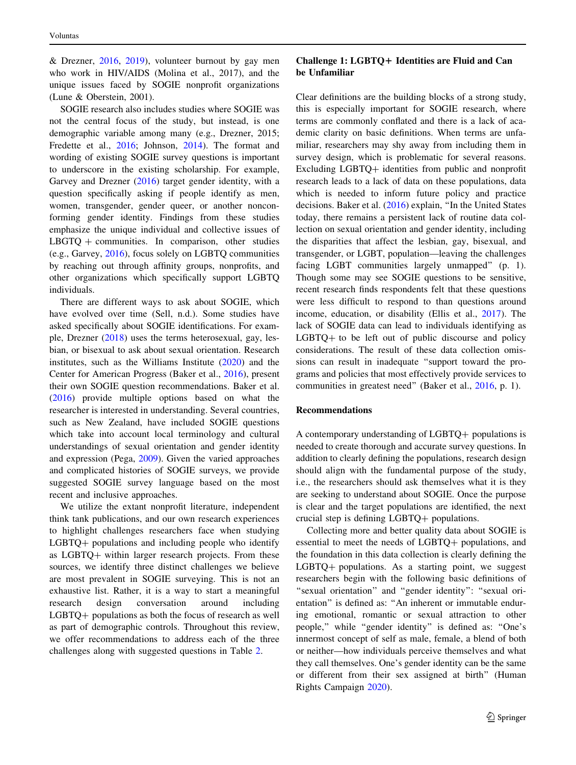& Drezner,  $2016$ ,  $2019$ ), volunteer burnout by gay men who work in HIV/AIDS (Molina et al., 2017), and the unique issues faced by SOGIE nonprofit organizations (Lune & Oberstein, 2001).

SOGIE research also includes studies where SOGIE was not the central focus of the study, but instead, is one demographic variable among many (e.g., Drezner, 2015; Fredette et al., [2016](#page-7-0); Johnson, [2014\)](#page-7-0). The format and wording of existing SOGIE survey questions is important to underscore in the existing scholarship. For example, Garvey and Drezner ([2016\)](#page-7-0) target gender identity, with a question specifically asking if people identify as men, women, transgender, gender queer, or another nonconforming gender identity. Findings from these studies emphasize the unique individual and collective issues of  $LBGTQ + communities.$  In comparison, other studies (e.g., Garvey, [2016\)](#page-7-0), focus solely on LGBTQ communities by reaching out through affinity groups, nonprofits, and other organizations which specifically support LGBTQ individuals.

There are different ways to ask about SOGIE, which have evolved over time (Sell, n.d.). Some studies have asked specifically about SOGIE identifications. For example, Drezner [\(2018](#page-7-0)) uses the terms heterosexual, gay, lesbian, or bisexual to ask about sexual orientation. Research institutes, such as the Williams Institute ([2020\)](#page-7-0) and the Center for American Progress (Baker et al., [2016](#page-7-0)), present their own SOGIE question recommendations. Baker et al. [\(2016](#page-7-0)) provide multiple options based on what the researcher is interested in understanding. Several countries, such as New Zealand, have included SOGIE questions which take into account local terminology and cultural understandings of sexual orientation and gender identity and expression (Pega, [2009](#page-7-0)). Given the varied approaches and complicated histories of SOGIE surveys, we provide suggested SOGIE survey language based on the most recent and inclusive approaches.

We utilize the extant nonprofit literature, independent think tank publications, and our own research experiences to highlight challenges researchers face when studying  $LGBTQ$  populations and including people who identify as  $LGBTQ+$  within larger research projects. From these sources, we identify three distinct challenges we believe are most prevalent in SOGIE surveying. This is not an exhaustive list. Rather, it is a way to start a meaningful research design conversation around including  $LGBTQ+$  populations as both the focus of research as well as part of demographic controls. Throughout this review, we offer recommendations to address each of the three challenges along with suggested questions in Table [2](#page-4-0).

# Challenge  $1: \text{LGBTO}+$  Identities are Fluid and Can be Unfamiliar

Clear definitions are the building blocks of a strong study, this is especially important for SOGIE research, where terms are commonly conflated and there is a lack of academic clarity on basic definitions. When terms are unfamiliar, researchers may shy away from including them in survey design, which is problematic for several reasons. Excluding LGBTQ+ identities from public and nonprofit research leads to a lack of data on these populations, data which is needed to inform future policy and practice decisions. Baker et al. ([2016\)](#page-7-0) explain, ''In the United States today, there remains a persistent lack of routine data collection on sexual orientation and gender identity, including the disparities that affect the lesbian, gay, bisexual, and transgender, or LGBT, population—leaving the challenges facing LGBT communities largely unmapped'' (p. 1). Though some may see SOGIE questions to be sensitive, recent research finds respondents felt that these questions were less difficult to respond to than questions around income, education, or disability (Ellis et al., [2017](#page-7-0)). The lack of SOGIE data can lead to individuals identifying as  $LGBTQ+$  to be left out of public discourse and policy considerations. The result of these data collection omissions can result in inadequate ''support toward the programs and policies that most effectively provide services to communities in greatest need'' (Baker et al., [2016](#page-7-0), p. 1).

# Recommendations

A contemporary understanding of  $LGBTQ$  populations is needed to create thorough and accurate survey questions. In addition to clearly defining the populations, research design should align with the fundamental purpose of the study, i.e., the researchers should ask themselves what it is they are seeking to understand about SOGIE. Once the purpose is clear and the target populations are identified, the next crucial step is defining  $LGBTQ$  populations.

Collecting more and better quality data about SOGIE is essential to meet the needs of  $LGBTQ$  populations, and the foundation in this data collection is clearly defining the  $LGBTQ+$  populations. As a starting point, we suggest researchers begin with the following basic definitions of "sexual orientation" and "gender identity": "sexual orientation'' is defined as: ''An inherent or immutable enduring emotional, romantic or sexual attraction to other people,'' while ''gender identity'' is defined as: ''One's innermost concept of self as male, female, a blend of both or neither—how individuals perceive themselves and what they call themselves. One's gender identity can be the same or different from their sex assigned at birth'' (Human Rights Campaign [2020](#page-7-0)).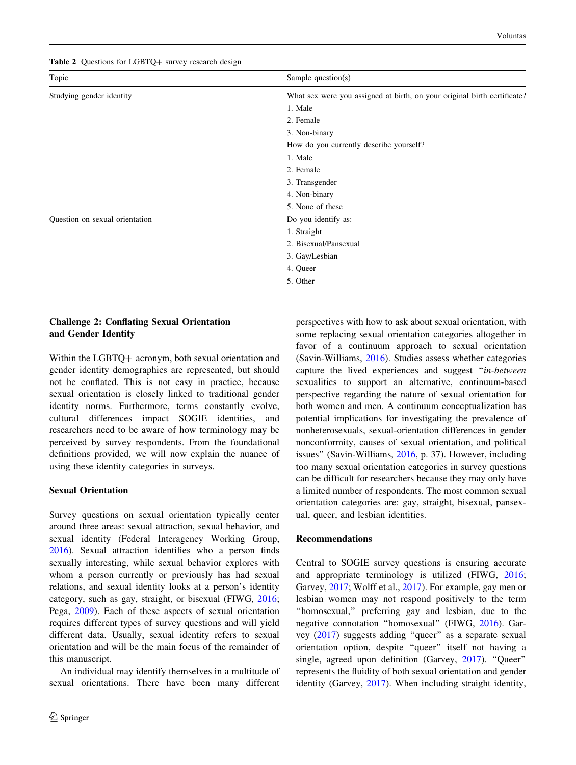<span id="page-4-0"></span>Table 2 Questions for LGBTQ+ survey research design

| Topic                          | Sample question $(s)$                                                    |
|--------------------------------|--------------------------------------------------------------------------|
| Studying gender identity       | What sex were you assigned at birth, on your original birth certificate? |
|                                | 1. Male                                                                  |
|                                | 2. Female                                                                |
|                                | 3. Non-binary                                                            |
|                                | How do you currently describe yourself?                                  |
|                                | 1. Male                                                                  |
|                                | 2. Female                                                                |
|                                | 3. Transgender                                                           |
|                                | 4. Non-binary                                                            |
|                                | 5. None of these                                                         |
| Question on sexual orientation | Do you identify as:                                                      |
|                                | 1. Straight                                                              |
|                                | 2. Bisexual/Pansexual                                                    |
|                                | 3. Gay/Lesbian                                                           |
|                                | 4. Queer                                                                 |
|                                | 5. Other                                                                 |

# Challenge 2: Conflating Sexual Orientation and Gender Identity

Within the LGBTQ+ acronym, both sexual orientation and gender identity demographics are represented, but should not be conflated. This is not easy in practice, because sexual orientation is closely linked to traditional gender identity norms. Furthermore, terms constantly evolve, cultural differences impact SOGIE identities, and researchers need to be aware of how terminology may be perceived by survey respondents. From the foundational definitions provided, we will now explain the nuance of using these identity categories in surveys.

# Sexual Orientation

Survey questions on sexual orientation typically center around three areas: sexual attraction, sexual behavior, and sexual identity (Federal Interagency Working Group, [2016\)](#page-7-0). Sexual attraction identifies who a person finds sexually interesting, while sexual behavior explores with whom a person currently or previously has had sexual relations, and sexual identity looks at a person's identity category, such as gay, straight, or bisexual (FIWG, [2016](#page-7-0); Pega, [2009](#page-7-0)). Each of these aspects of sexual orientation requires different types of survey questions and will yield different data. Usually, sexual identity refers to sexual orientation and will be the main focus of the remainder of this manuscript.

An individual may identify themselves in a multitude of sexual orientations. There have been many different

perspectives with how to ask about sexual orientation, with some replacing sexual orientation categories altogether in favor of a continuum approach to sexual orientation (Savin-Williams, [2016](#page-7-0)). Studies assess whether categories capture the lived experiences and suggest "in-between sexualities to support an alternative, continuum-based perspective regarding the nature of sexual orientation for both women and men. A continuum conceptualization has potential implications for investigating the prevalence of nonheterosexuals, sexual-orientation differences in gender nonconformity, causes of sexual orientation, and political issues'' (Savin-Williams, [2016,](#page-7-0) p. 37). However, including too many sexual orientation categories in survey questions can be difficult for researchers because they may only have a limited number of respondents. The most common sexual orientation categories are: gay, straight, bisexual, pansexual, queer, and lesbian identities.

### Recommendations

Central to SOGIE survey questions is ensuring accurate and appropriate terminology is utilized (FIWG, [2016](#page-7-0); Garvey, [2017](#page-7-0); Wolff et al., [2017](#page-7-0)). For example, gay men or lesbian women may not respond positively to the term ''homosexual,'' preferring gay and lesbian, due to the negative connotation ''homosexual'' (FIWG, [2016\)](#page-7-0). Garvey ([2017\)](#page-7-0) suggests adding ''queer'' as a separate sexual orientation option, despite ''queer'' itself not having a single, agreed upon definition (Garvey, [2017\)](#page-7-0). "Queer" represents the fluidity of both sexual orientation and gender identity (Garvey, [2017](#page-7-0)). When including straight identity,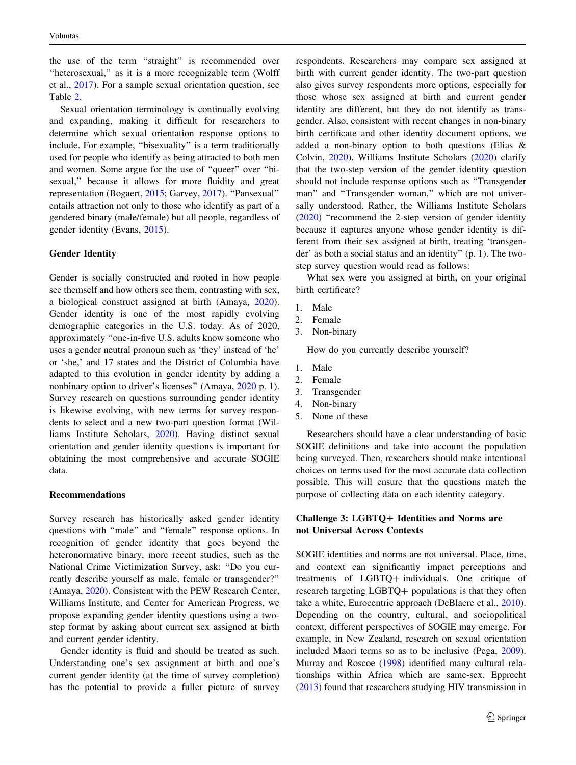the use of the term ''straight'' is recommended over "heterosexual," as it is a more recognizable term (Wolff et al., [2017\)](#page-7-0). For a sample sexual orientation question, see Table [2](#page-4-0).

Sexual orientation terminology is continually evolving and expanding, making it difficult for researchers to determine which sexual orientation response options to include. For example, ''bisexuality'' is a term traditionally used for people who identify as being attracted to both men and women. Some argue for the use of ''queer'' over ''bisexual,'' because it allows for more fluidity and great representation (Bogaert, [2015](#page-7-0); Garvey, [2017](#page-7-0)). ''Pansexual'' entails attraction not only to those who identify as part of a gendered binary (male/female) but all people, regardless of gender identity (Evans, [2015](#page-7-0)).

# Gender Identity

Gender is socially constructed and rooted in how people see themself and how others see them, contrasting with sex, a biological construct assigned at birth (Amaya, [2020](#page-7-0)). Gender identity is one of the most rapidly evolving demographic categories in the U.S. today. As of 2020, approximately ''one-in-five U.S. adults know someone who uses a gender neutral pronoun such as 'they' instead of 'he' or 'she,' and 17 states and the District of Columbia have adapted to this evolution in gender identity by adding a nonbinary option to driver's licenses'' (Amaya, [2020](#page-7-0) p. 1). Survey research on questions surrounding gender identity is likewise evolving, with new terms for survey respondents to select and a new two-part question format (Williams Institute Scholars, [2020\)](#page-7-0). Having distinct sexual orientation and gender identity questions is important for obtaining the most comprehensive and accurate SOGIE data.

#### Recommendations

Survey research has historically asked gender identity questions with ''male'' and ''female'' response options. In recognition of gender identity that goes beyond the heteronormative binary, more recent studies, such as the National Crime Victimization Survey, ask: ''Do you currently describe yourself as male, female or transgender?'' (Amaya, [2020](#page-7-0)). Consistent with the PEW Research Center, Williams Institute, and Center for American Progress, we propose expanding gender identity questions using a twostep format by asking about current sex assigned at birth and current gender identity.

Gender identity is fluid and should be treated as such. Understanding one's sex assignment at birth and one's current gender identity (at the time of survey completion) has the potential to provide a fuller picture of survey respondents. Researchers may compare sex assigned at birth with current gender identity. The two-part question also gives survey respondents more options, especially for those whose sex assigned at birth and current gender identity are different, but they do not identify as transgender. Also, consistent with recent changes in non-binary birth certificate and other identity document options, we added a non-binary option to both questions (Elias & Colvin, [2020](#page-7-0)). Williams Institute Scholars [\(2020](#page-7-0)) clarify that the two-step version of the gender identity question should not include response options such as ''Transgender man'' and ''Transgender woman,'' which are not universally understood. Rather, the Williams Institute Scholars [\(2020](#page-7-0)) ''recommend the 2-step version of gender identity because it captures anyone whose gender identity is different from their sex assigned at birth, treating 'transgender' as both a social status and an identity'' (p. 1). The twostep survey question would read as follows:

What sex were you assigned at birth, on your original birth certificate?

- 1. Male
- 2. Female
- 3. Non-binary

How do you currently describe yourself?

- 1. Male
- 2. Female
- 3. Transgender
- 4. Non-binary
- 5. None of these

Researchers should have a clear understanding of basic SOGIE definitions and take into account the population being surveyed. Then, researchers should make intentional choices on terms used for the most accurate data collection possible. This will ensure that the questions match the purpose of collecting data on each identity category.

# Challenge 3: LGBTO+ Identities and Norms are not Universal Across Contexts

SOGIE identities and norms are not universal. Place, time, and context can significantly impact perceptions and treatments of LGBTQ+ individuals. One critique of research targeting LGBTQ+ populations is that they often take a white, Eurocentric approach (DeBlaere et al., [2010](#page-7-0)). Depending on the country, cultural, and sociopolitical context, different perspectives of SOGIE may emerge. For example, in New Zealand, research on sexual orientation included Maori terms so as to be inclusive (Pega, [2009](#page-7-0)). Murray and Roscoe [\(1998](#page-7-0)) identified many cultural relationships within Africa which are same-sex. Epprecht [\(2013](#page-7-0)) found that researchers studying HIV transmission in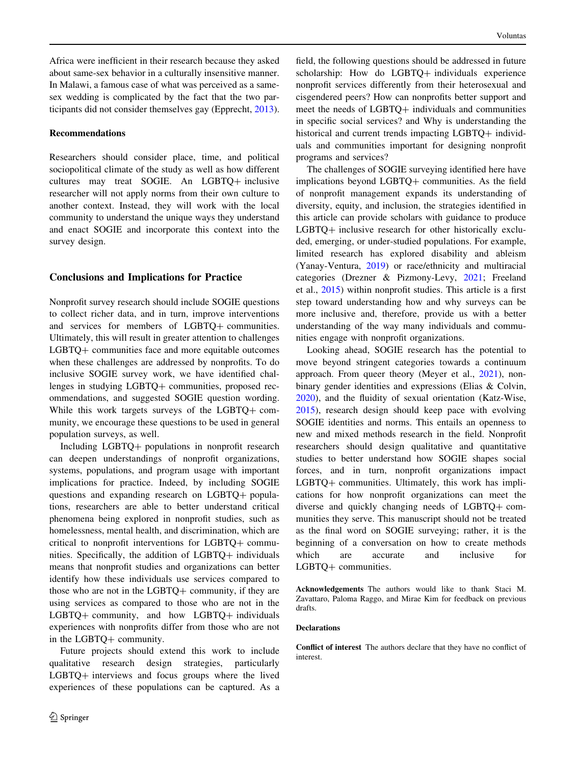Africa were inefficient in their research because they asked about same-sex behavior in a culturally insensitive manner. In Malawi, a famous case of what was perceived as a samesex wedding is complicated by the fact that the two participants did not consider themselves gay (Epprecht, [2013](#page-7-0)).

### Recommendations

Researchers should consider place, time, and political sociopolitical climate of the study as well as how different cultures may treat SOGIE. An LGBTQ+ inclusive researcher will not apply norms from their own culture to another context. Instead, they will work with the local community to understand the unique ways they understand and enact SOGIE and incorporate this context into the survey design.

### Conclusions and Implications for Practice

Nonprofit survey research should include SOGIE questions to collect richer data, and in turn, improve interventions and services for members of LGBTQ+ communities. Ultimately, this will result in greater attention to challenges LGBTQ+ communities face and more equitable outcomes when these challenges are addressed by nonprofits. To do inclusive SOGIE survey work, we have identified challenges in studying LGBTQ+ communities, proposed recommendations, and suggested SOGIE question wording. While this work targets surveys of the  $LGBTQ + com$ munity, we encourage these questions to be used in general population surveys, as well.

Including LGBTQ+ populations in nonprofit research can deepen understandings of nonprofit organizations, systems, populations, and program usage with important implications for practice. Indeed, by including SOGIE questions and expanding research on  $LGBTQ + popula$ tions, researchers are able to better understand critical phenomena being explored in nonprofit studies, such as homelessness, mental health, and discrimination, which are critical to nonprofit interventions for  $LGBTQ +$  communities. Specifically, the addition of  $LGBTQ$  individuals means that nonprofit studies and organizations can better identify how these individuals use services compared to those who are not in the  $LGBTQ$  community, if they are using services as compared to those who are not in the  $LGBTQ+$  community, and how  $LGBTQ+$  individuals experiences with nonprofits differ from those who are not in the LGBTQ+ community.

Future projects should extend this work to include qualitative research design strategies, particularly  $LGBTQ$  interviews and focus groups where the lived experiences of these populations can be captured. As a

field, the following questions should be addressed in future scholarship: How do LGBTQ+ individuals experience nonprofit services differently from their heterosexual and cisgendered peers? How can nonprofits better support and meet the needs of LGBTQ+ individuals and communities in specific social services? and Why is understanding the historical and current trends impacting LGBTQ+ individuals and communities important for designing nonprofit programs and services?

The challenges of SOGIE surveying identified here have implications beyond LGBTQ+ communities. As the field of nonprofit management expands its understanding of diversity, equity, and inclusion, the strategies identified in this article can provide scholars with guidance to produce  $LGBTO+$  inclusive research for other historically excluded, emerging, or under-studied populations. For example, limited research has explored disability and ableism (Yanay-Ventura, [2019\)](#page-7-0) or race/ethnicity and multiracial categories (Drezner & Pizmony-Levy, [2021;](#page-7-0) Freeland et al., [2015](#page-7-0)) within nonprofit studies. This article is a first step toward understanding how and why surveys can be more inclusive and, therefore, provide us with a better understanding of the way many individuals and communities engage with nonprofit organizations.

Looking ahead, SOGIE research has the potential to move beyond stringent categories towards a continuum approach. From queer theory (Meyer et al., [2021\)](#page-7-0), nonbinary gender identities and expressions (Elias & Colvin, [2020](#page-7-0)), and the fluidity of sexual orientation (Katz-Wise, [2015](#page-7-0)), research design should keep pace with evolving SOGIE identities and norms. This entails an openness to new and mixed methods research in the field. Nonprofit researchers should design qualitative and quantitative studies to better understand how SOGIE shapes social forces, and in turn, nonprofit organizations impact LGBTQ+ communities. Ultimately, this work has implications for how nonprofit organizations can meet the diverse and quickly changing needs of  $LGBTQ + com$ munities they serve. This manuscript should not be treated as the final word on SOGIE surveying; rather, it is the beginning of a conversation on how to create methods which are accurate and inclusive for LGBTQ+ communities.

Acknowledgements The authors would like to thank Staci M. Zavattaro, Paloma Raggo, and Mirae Kim for feedback on previous drafts.

#### **Declarations**

Conflict of interest The authors declare that they have no conflict of interest.